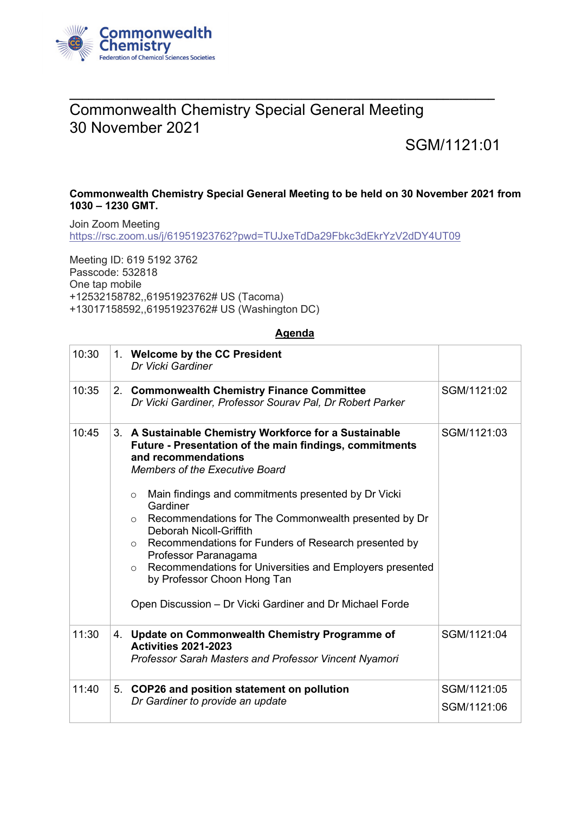

## **\_\_\_\_\_\_\_\_\_\_\_\_\_\_\_\_\_\_\_\_\_\_\_\_\_\_\_\_\_\_\_\_\_\_\_\_\_\_\_\_\_\_\_\_\_\_\_\_\_\_\_\_\_\_\_\_\_\_\_\_\_\_\_\_\_\_** Commonwealth Chemistry Special General Meeting 30 November 2021

## SGM/1121:01

## **Commonwealth Chemistry Special General Meeting to be held on 30 November 2021 from 1030 – 1230 GMT.**

Join Zoom Meeting <https://rsc.zoom.us/j/61951923762?pwd=TUJxeTdDa29Fbkc3dEkrYzV2dDY4UT09>

Meeting ID: 619 5192 3762 Passcode: 532818 One tap mobile +12532158782,,61951923762# US (Tacoma) +13017158592,,61951923762# US (Washington DC)

## **Agenda**

| 10:30 | 1. Welcome by the CC President<br>Dr Vicki Gardiner                                                                                                                                                                                                                                                                                                                                                                                                                                                                                                                                                               |                            |
|-------|-------------------------------------------------------------------------------------------------------------------------------------------------------------------------------------------------------------------------------------------------------------------------------------------------------------------------------------------------------------------------------------------------------------------------------------------------------------------------------------------------------------------------------------------------------------------------------------------------------------------|----------------------------|
| 10:35 | 2. Commonwealth Chemistry Finance Committee<br>Dr Vicki Gardiner, Professor Sourav Pal, Dr Robert Parker                                                                                                                                                                                                                                                                                                                                                                                                                                                                                                          | SGM/1121:02                |
| 10:45 | 3. A Sustainable Chemistry Workforce for a Sustainable<br>Future - Presentation of the main findings, commitments<br>and recommendations<br><b>Members of the Executive Board</b><br>Main findings and commitments presented by Dr Vicki<br>$\circ$<br>Gardiner<br>Recommendations for The Commonwealth presented by Dr<br>$\circ$<br>Deborah Nicoll-Griffith<br>○ Recommendations for Funders of Research presented by<br>Professor Paranagama<br>Recommendations for Universities and Employers presented<br>$\circ$<br>by Professor Choon Hong Tan<br>Open Discussion - Dr Vicki Gardiner and Dr Michael Forde | SGM/1121:03                |
| 11:30 | 4. Update on Commonwealth Chemistry Programme of<br><b>Activities 2021-2023</b><br>Professor Sarah Masters and Professor Vincent Nyamori                                                                                                                                                                                                                                                                                                                                                                                                                                                                          | SGM/1121:04                |
| 11:40 | 5. COP26 and position statement on pollution<br>Dr Gardiner to provide an update                                                                                                                                                                                                                                                                                                                                                                                                                                                                                                                                  | SGM/1121:05<br>SGM/1121:06 |